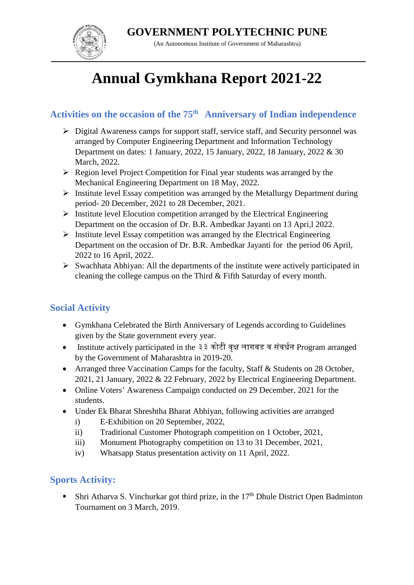**GOVERNMENT POLYTECHNIC PUNE**



(An Autonomous Institute of Government of Maharashtra)

# **Annual Gymkhana Report 2021-22**

# **Activities on the occasion of the 75th Anniversary of Indian independence**

- Digital Awareness camps for support staff, service staff, and Security personnel was arranged by Computer Engineering Department and Information Technology Department on dates: 1 January, 2022, 15 January, 2022, 18 January, 2022 & 30 March, 2022.
- $\triangleright$  Region level Project Competition for Final year students was arranged by the Mechanical Engineering Department on 18 May, 2022.
- $\triangleright$  Institute level Essay competition was arranged by the Metallurgy Department during period- 20 December, 2021 to 28 December, 2021.
- $\triangleright$  Institute level Elocution competition arranged by the Electrical Engineering Department on the occasion of Dr. B.R. Ambedkar Jayanti on 13 Apri,l 2022.
- $\triangleright$  Institute level Essay competition was arranged by the Electrical Engineering Department on the occasion of Dr. B.R. Ambedkar Jayanti for the period 06 April, 2022 to 16 April, 2022.
- $\triangleright$  Swachhata Abhiyan: All the departments of the institute were actively participated in cleaning the college campus on the Third & Fifth Saturday of every month.

#### **Social Activity**

- Gymkhana Celebrated the Birth Anniversary of Legends according to Guidelines given by the State government every year.
- Institute actively participated in the ३३ कोटी वृक्ष लागवड व संवर्धन Program arranged by the Government of Maharashtra in 2019-20.
- Arranged three Vaccination Camps for the faculty, Staff & Students on 28 October, 2021, 21 January, 2022 & 22 February, 2022 by Electrical Engineering Department.
- Online Voters' Awareness Campaign conducted on 29 December, 2021 for the students.
- Under Ek Bharat Shreshtha Bharat Abhiyan, following activities are arranged
	- i) E-Exhibition on 20 September, 2022,
	- ii) Traditional Customer Photograph competition on 1 October, 2021,
	- iii) Monument Photography competition on 13 to 31 December, 2021,
	- iv) Whatsapp Status presentation activity on 11 April, 2022.

## **Sports Activity:**

**Shri Atharva S. Vinchurkar got third prize, in the 17th Dhule District Open Badminton** Tournament on 3 March, 2019.